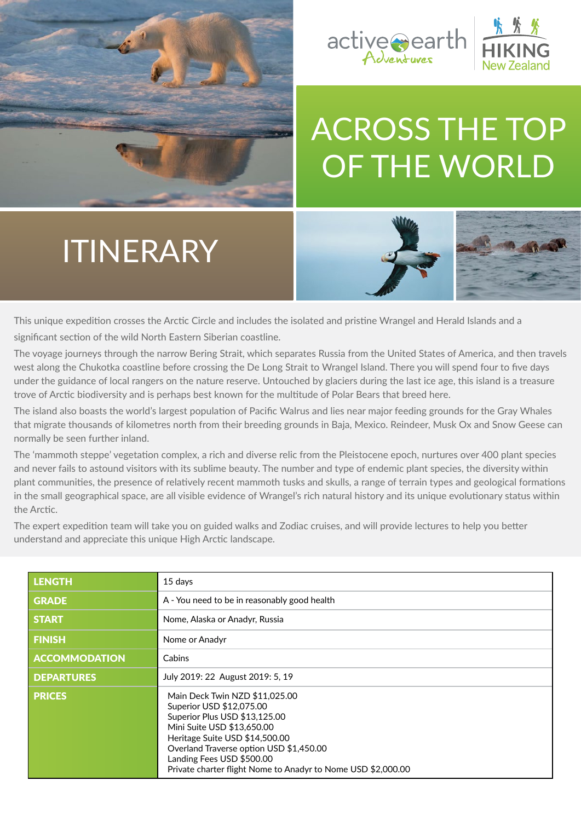



# [ACROSS THE TOP](https://activeearthadventures.com/activites/across-the-top-of-the-world/)  OF THE WORLD

# ITINERARY



This unique expedition crosses the Arctic Circle and includes the isolated and pristine Wrangel and Herald Islands and a significant section of the wild North Eastern Siberian coastline.

The voyage journeys through the narrow Bering Strait, which separates Russia from the United States of America, and then travels west along the Chukotka coastline before crossing the De Long Strait to Wrangel Island. There you will spend four to five days under the guidance of local rangers on the nature reserve. Untouched by glaciers during the last ice age, this island is a treasure trove of Arctic biodiversity and is perhaps best known for the multitude of Polar Bears that breed here.

The island also boasts the world's largest population of Pacific Walrus and lies near major feeding grounds for the Gray Whales that migrate thousands of kilometres north from their breeding grounds in Baja, Mexico. Reindeer, Musk Ox and Snow Geese can normally be seen further inland.

The 'mammoth steppe' vegetation complex, a rich and diverse relic from the Pleistocene epoch, nurtures over 400 plant species and never fails to astound visitors with its sublime beauty. The number and type of endemic plant species, the diversity within plant communities, the presence of relatively recent mammoth tusks and skulls, a range of terrain types and geological formations in the small geographical space, are all visible evidence of Wrangel's rich natural history and its unique evolutionary status within the Arctic.

The expert expedition team will take you on guided walks and Zodiac cruises, and will provide lectures to help you better understand and appreciate this unique High Arctic landscape.

| <b>LENGTH</b>        | 15 days                                                                                                                                                                                                                                                                                             |
|----------------------|-----------------------------------------------------------------------------------------------------------------------------------------------------------------------------------------------------------------------------------------------------------------------------------------------------|
| <b>GRADE</b>         | A - You need to be in reasonably good health                                                                                                                                                                                                                                                        |
| <b>START</b>         | Nome, Alaska or Anadyr, Russia                                                                                                                                                                                                                                                                      |
| <b>FINISH</b>        | Nome or Anadyr                                                                                                                                                                                                                                                                                      |
| <b>ACCOMMODATION</b> | Cabins                                                                                                                                                                                                                                                                                              |
| <b>DEPARTURES</b>    | July 2019: 22 August 2019: 5, 19                                                                                                                                                                                                                                                                    |
| <b>PRICES</b>        | Main Deck Twin NZD \$11,025.00<br>Superior USD \$12,075.00<br>Superior Plus USD \$13,125.00<br>Mini Suite USD \$13,650.00<br>Heritage Suite USD \$14,500.00<br>Overland Traverse option USD \$1,450.00<br>Landing Fees USD \$500.00<br>Private charter flight Nome to Anadyr to Nome USD \$2,000.00 |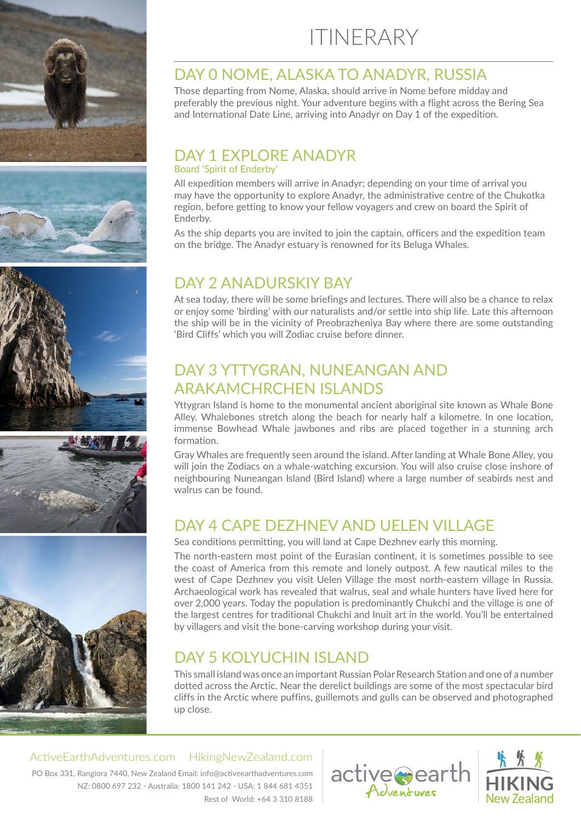









# ITINERARY

### DAY 0 NOME, ALASKA TO ANADYR, RUSSIA

Those departing from Nome, Alaska, should arrive in Nome before midday and preferably the previous night. Your adventure begins with a flight across the Bering Sea and International Date Line, arriving into Anadyr on Day 1 of the expedition.

### DAY 1 FXPLORE ANADYR

#### Board 'Spirit of Enderby'

All expedition members will arrive in Anadyr; depending on your time of arrival you may have the opportunity to explore Anadyr, the administrative centre of the Chukotka region, before getting to know your fellow voyagers and crew on board the Spirit of Enderby.

As the ship departs you are invited to join the captain, officers and the expedition team on the bridge. The Anadyr estuary is renowned for its Beluga Whales.

## DAY 2 ANADURSKIY BAY

At sea today, there will be some briefings and lectures. There will also be a chance to relax or enjoy some 'birding' with our naturalists and/or settle into ship life. Late this afternoon the ship will be in the vicinity of Preobrazheniya Bay where there are some outstanding 'Bird Cliffs' which you will Zodiac cruise before dinner.

# DAY 3 YTTYGRAN, NUNEANGAN AND ARAKAMCHRCHEN ISLANDS

Yttygran Island is home to the monumental ancient aboriginal site known as Whale Bone Alley. Whalebones stretch along the beach for nearly half a kilometre. In one location, immense Bowhead Whale jawbones and ribs are placed together in a stunning arch formation.

Gray Whales are frequently seen around the island. After landing at Whale Bone Alley, you will join the Zodiacs on a whale-watching excursion. You will also cruise close inshore of neighbouring Nuneangan Island (Bird Island) where a large number of seabirds nest and walrus can be found.

# [DAY 4 CAPE DEZHNEV AND UELEN VILLAGE](https://activeearthadventures.com/activites/across-the-top-of-the-world/)

Sea conditions permitting, you will land at Cape Dezhnev early this morning.

The north-eastern most point of the Eurasian continent, it is sometimes possible to see the coast of America from this remote and lonely outpost. A few nautical miles to the west of Cape Dezhnev you visit Uelen Village the most north-eastern village in Russia. Archaeological work has revealed that walrus, seal and whale hunters have lived here for over 2,000 years. Today the population is predominantly Chukchi and the village is one of the largest centres for traditional Chukchi and Inuit art in the world. You'll be entertained by villagers and visit the bone-carving workshop during your visit.

# DAY 5 KOLYUCHIN ISLAND

This small island was once an important Russian Polar Research Station and one of a number dotted across the Arctic. Near the derelict buildings are some of the most spectacular bird cliffs in the Arctic where puffins, guillemots and gulls can be observed and photographed up close.

ActiveEarthAdventures.com HikingNewZealand.com

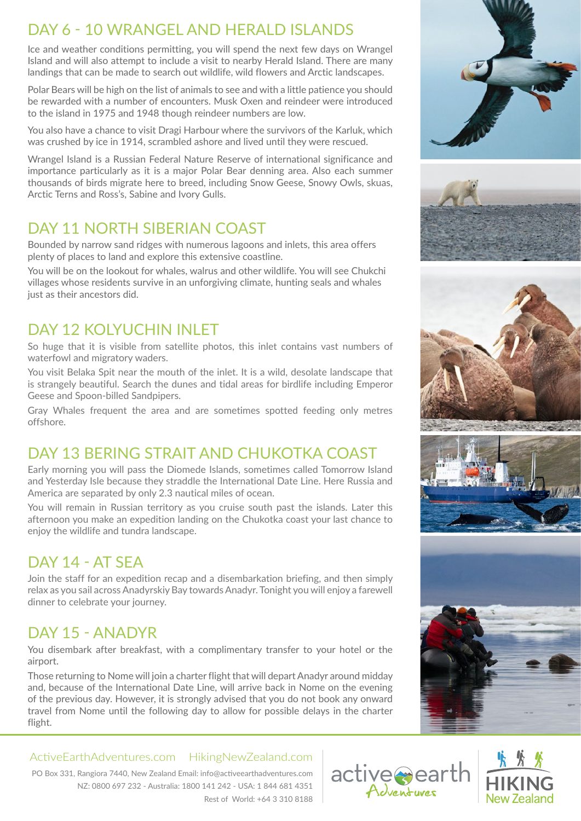# DAY 6 - 10 WRANGEL AND HERALD ISLANDS

Ice and weather conditions permitting, you will spend the next few days on Wrangel Island and will also attempt to include a visit to nearby Herald Island. There are many landings that can be made to search out wildlife, wild flowers and Arctic landscapes.

Polar Bears will be high on the list of animals to see and with a little patience you should be rewarded with a number of encounters. Musk Oxen and reindeer were introduced to the island in 1975 and 1948 though reindeer numbers are low.

You also have a chance to visit Dragi Harbour where the survivors of the Karluk, which was crushed by ice in 1914, scrambled ashore and lived until they were rescued.

Wrangel Island is a Russian Federal Nature Reserve of international significance and importance particularly as it is a major Polar Bear denning area. Also each summer thousands of birds migrate here to breed, including Snow Geese, Snowy Owls, skuas, Arctic Terns and Ross's, Sabine and Ivory Gulls.

# DAY 11 NORTH SIBERIAN COAST

Bounded by narrow sand ridges with numerous lagoons and inlets, this area offers plenty of places to land and explore this extensive coastline.

You will be on the lookout for whales, walrus and other wildlife. You will see Chukchi villages whose residents survive in an unforgiving climate, hunting seals and whales just as their ancestors did.

# DAY 12 KOLYUCHIN INLET

So huge that it is visible from satellite photos, this inlet contains vast numbers of waterfowl and migratory waders.

You visit Belaka Spit near the mouth of the inlet. It is a wild, desolate landscape that is strangely beautiful. Search the dunes and tidal areas for birdlife including Emperor Geese and Spoon-billed Sandpipers.

Gray Whales frequent the area and are sometimes spotted feeding only metres offshore.

# [DAY 13 BERING STRAIT AND CHUKOTKA COAST](https://activeearthadventures.com/activites/across-the-top-of-the-world/)

Early morning you will pass the Diomede Islands, sometimes called Tomorrow Island and Yesterday Isle because they straddle the International Date Line. Here Russia and America are separated by only 2.3 nautical miles of ocean.

You will remain in Russian territory as you cruise south past the islands. Later this afternoon you make an expedition landing on the Chukotka coast your last chance to enjoy the wildlife and tundra landscape.

# $\overline{DAY}$  14 - AT SFA

Join the staff for an expedition recap and a disembarkation briefing, and then simply relax as you sail across Anadyrskiy Bay towards Anadyr. Tonight you will enjoy a farewell dinner to celebrate your journey.

# DAY 15 - ANADYR

You disembark after breakfast, with a complimentary transfer to your hotel or the airport.

Those returning to Nome will join a charter flight that will depart Anadyr around midday and, because of the International Date Line, will arrive back in Nome on the evening of the previous day. However, it is strongly advised that you do not book any onward travel from Nome until the following day to allow for possible delays in the charter flight.

ActiveEarthAdventures.com HikingNewZealand.com





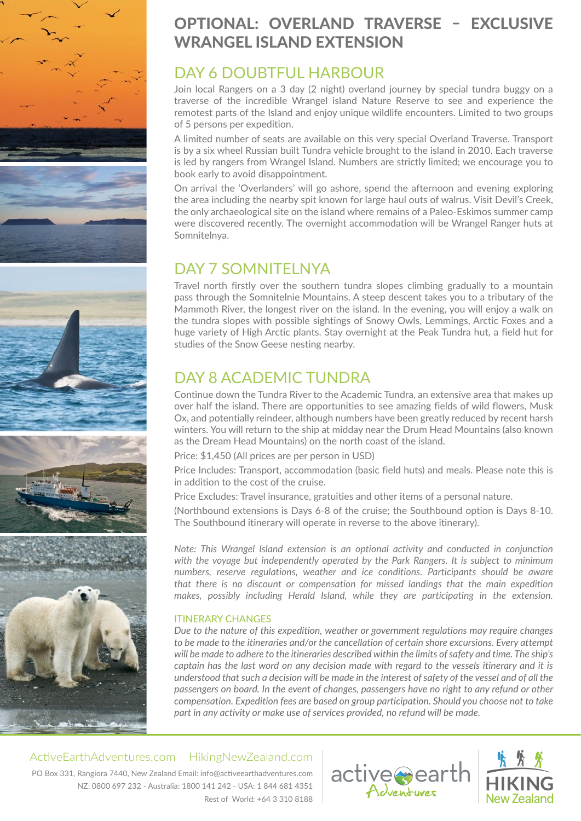







# [OPTIONAL: OVERLAND TRAVERSE – EXCLUSIVE](https://activeearthadventures.com/activites/across-the-top-of-the-world/)  WRANGEL ISLAND EXTENSION

# DAY 6 DOUBTFUL HARBOUR

Join local Rangers on a 3 day (2 night) overland journey by special tundra buggy on a traverse of the incredible Wrangel island Nature Reserve to see and experience the remotest parts of the Island and enjoy unique wildlife encounters. Limited to two groups of 5 persons per expedition.

A limited number of seats are available on this very special Overland Traverse. Transport is by a six wheel Russian built Tundra vehicle brought to the island in 2010. Each traverse is led by rangers from Wrangel Island. Numbers are strictly limited; we encourage you to book early to avoid disappointment.

On arrival the 'Overlanders' will go ashore, spend the afternoon and evening exploring the area including the nearby spit known for large haul outs of walrus. Visit Devil's Creek, the only archaeological site on the island where remains of a Paleo-Eskimos summer camp were discovered recently. The overnight accommodation will be Wrangel Ranger huts at Somnitelnya.

# DAY 7 SOMNITELNYA

Travel north firstly over the southern tundra slopes climbing gradually to a mountain pass through the Somnitelnie Mountains. A steep descent takes you to a tributary of the Mammoth River, the longest river on the island. In the evening, you will enjoy a walk on the tundra slopes with possible sightings of Snowy Owls, Lemmings, Arctic Foxes and a huge variety of High Arctic plants. Stay overnight at the Peak Tundra hut, a field hut for studies of the Snow Geese nesting nearby.

# DAY 8 ACADEMIC TUNDRA

Continue down the Tundra River to the Academic Tundra, an extensive area that makes up over half the island. There are opportunities to see amazing fields of wild flowers, Musk Ox, and potentially reindeer, although numbers have been greatly reduced by recent harsh winters. You will return to the ship at midday near the Drum Head Mountains (also known as the Dream Head Mountains) on the north coast of the island.

Price: \$1,450 (All prices are per person in USD)

Price Includes: Transport, accommodation (basic field huts) and meals. Please note this is in addition to the cost of the cruise.

Price Excludes: Travel insurance, gratuities and other items of a personal nature.

(Northbound extensions is Days 6-8 of the cruise; the Southbound option is Days 8-10. The Southbound itinerary will operate in reverse to the above itinerary).

*Note: This Wrangel Island extension is an optional activity and conducted in conjunction with the voyage but independently operated by the Park Rangers. It is subject to minimum numbers, reserve regulations, weather and ice conditions. Participants should be aware that there is no discount or compensation for missed landings that the main expedition makes, possibly including Herald Island, while they are participating in the extension.*

#### ITINERARY CHANGES

*Due to the nature of this expedition, weather or government regulations may require changes*  to be made to the itineraries and/or the cancellation of certain shore excursions. Every attempt *will be made to adhere to the itineraries described within the limits of safety and time. The ship's captain has the last word on any decision made with regard to the vessels itinerary and it is understood that such a decision will be made in the interest of safety of the vessel and of all the passengers on board. In the event of changes, passengers have no right to any refund or other compensation. Expedition fees are based on group participation. Should you choose not to take part in any activity or make use of services provided, no refund will be made.*

#### ActiveEarthAdventures.com HikingNewZealand.com

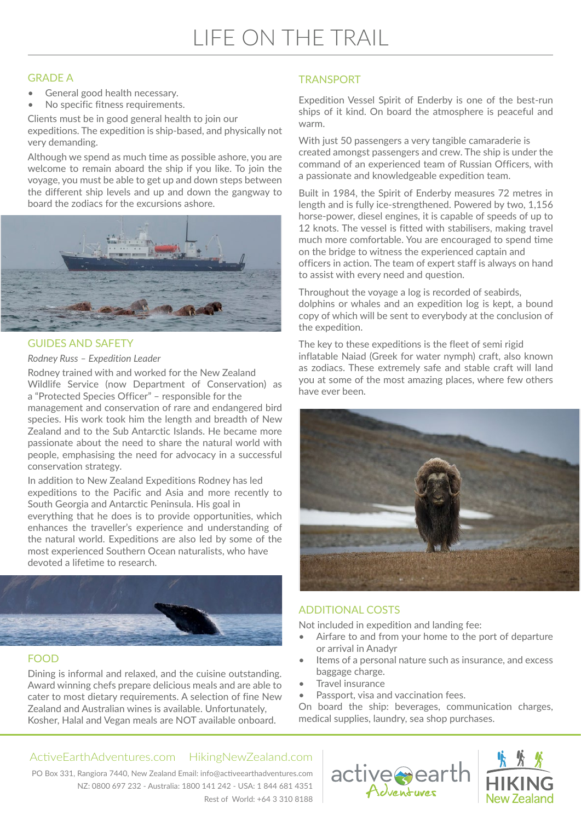# [LIFE ON THE TRAIL](https://activeearthadventures.com/activites/across-the-top-of-the-world/)

#### GRADE A

- General good health necessary.
- No specific fitness requirements.

Clients must be in good general health to join our expeditions. The expedition is ship-based, and physically not very demanding.

Although we spend as much time as possible ashore, you are welcome to remain aboard the ship if you like. To join the voyage, you must be able to get up and down steps between the different ship levels and up and down the gangway to board the zodiacs for the excursions ashore.



#### GUIDES AND SAFETY

#### *Rodney Russ – Expedition Leader*

Rodney trained with and worked for the New Zealand Wildlife Service (now Department of Conservation) as a "Protected Species Officer" – responsible for the management and conservation of rare and endangered bird species. His work took him the length and breadth of New Zealand and to the Sub Antarctic Islands. He became more passionate about the need to share the natural world with people, emphasising the need for advocacy in a successful conservation strategy.

In addition to New Zealand Expeditions Rodney has led expeditions to the Pacific and Asia and more recently to South Georgia and Antarctic Peninsula. His goal in everything that he does is to provide opportunities, which enhances the traveller's experience and understanding of the natural world. Expeditions are also led by some of the most experienced Southern Ocean naturalists, who have devoted a lifetime to research.



#### FOOD

Dining is informal and relaxed, and the cuisine outstanding. Award winning chefs prepare delicious meals and are able to cater to most dietary requirements. A selection of fine New Zealand and Australian wines is available. Unfortunately, Kosher, Halal and Vegan meals are NOT available onboard.

#### **TRANSPORT**

Expedition Vessel Spirit of Enderby is one of the best-run ships of it kind. On board the atmosphere is peaceful and warm.

With just 50 passengers a very tangible camaraderie is created amongst passengers and crew. The ship is under the command of an experienced team of Russian Officers, with a passionate and knowledgeable expedition team.

Built in 1984, the Spirit of Enderby measures 72 metres in length and is fully ice-strengthened. Powered by two, 1,156 horse-power, diesel engines, it is capable of speeds of up to 12 knots. The vessel is fitted with stabilisers, making travel much more comfortable. You are encouraged to spend time on the bridge to witness the experienced captain and officers in action. The team of expert staff is always on hand to assist with every need and question.

Throughout the voyage a log is recorded of seabirds, dolphins or whales and an expedition log is kept, a bound copy of which will be sent to everybody at the conclusion of the expedition.

The key to these expeditions is the fleet of semi rigid inflatable Naiad (Greek for water nymph) craft, also known as zodiacs. These extremely safe and stable craft will land you at some of the most amazing places, where few others have ever been.



#### ADDITIONAL COSTS

Not included in expedition and landing fee:

- Airfare to and from your home to the port of departure or arrival in Anadyr
- Items of a personal nature such as insurance, and excess baggage charge.
- Travel insurance
- Passport, visa and vaccination fees.

On board the ship: beverages, communication charges, medical supplies, laundry, sea shop purchases.

#### ActiveEarthAdventures.com HikingNewZealand.com

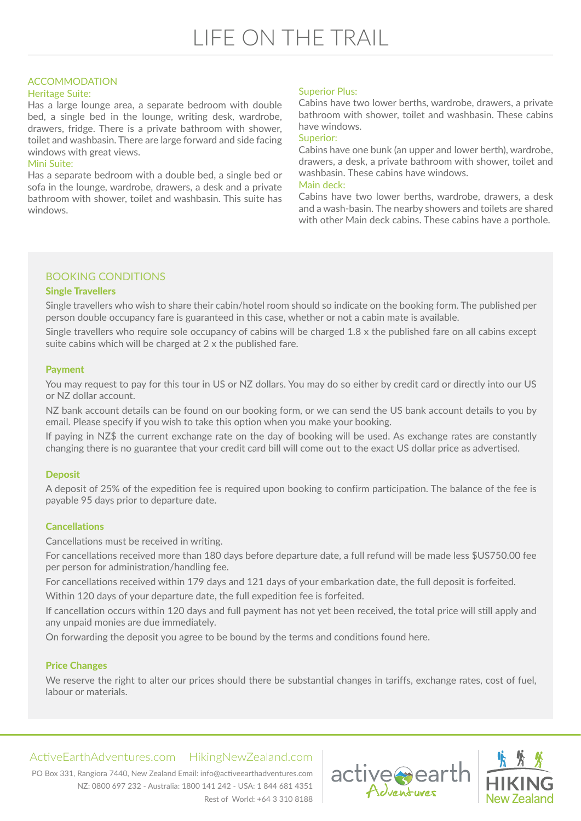#### ACCOMMODATION

#### Heritage Suite:

Has a large lounge area, a separate bedroom with double bed, a single bed in the lounge, writing desk, wardrobe, drawers, fridge. There is a private bathroom with shower, toilet and washbasin. There are large forward and side facing windows with great views.

#### Mini Suite:

Has a separate bedroom with a double bed, a single bed or sofa in the lounge, wardrobe, drawers, a desk and a private bathroom with shower, toilet and washbasin. This suite has windows.

#### Superior Plus:

Cabins have two lower berths, wardrobe, drawers, a private bathroom with shower, toilet and washbasin. These cabins have windows.

#### Superior:

Cabins have one bunk (an upper and lower berth), wardrobe, drawers, a desk, a private bathroom with shower, toilet and washbasin. These cabins have windows.

#### Main deck:

Cabins have two lower berths, wardrobe, drawers, a desk and a wash-basin. The nearby showers and toilets are shared with other Main deck cabins. These cabins have a porthole.

#### BOOKING CONDITIONS

#### Single Travellers

Single travellers who wish to share their cabin/hotel room should so indicate on the booking form. The published per person double occupancy fare is guaranteed in this case, whether or not a cabin mate is available.

Single travellers who require sole occupancy of cabins will be charged 1.8 x the published fare on all cabins except suite cabins which will be charged at 2 x the published fare.

#### Payment

You may request to pay for this tour in US or NZ dollars. You may do so either by credit card or directly into our US or NZ dollar account.

NZ bank account details can be found on our booking form, or we can send the US bank account details to you by email. Please specify if you wish to take this option when you make your booking.

If paying in NZ\$ the current exchange rate on the day of booking will be used. As exchange rates are constantly changing there is no guarantee that your credit card bill will come out to the exact US dollar price as advertised.

#### **Deposit**

A deposit of 25% of the expedition fee is required upon booking to confirm participation. The balance of the fee is payable 95 days prior to departure date.

#### **Cancellations**

Cancellations must be received in writing.

For cancellations received more than 180 days before departure date, a full refund will be made less \$US750.00 fee per person for administration/handling fee.

For cancellations received within 179 days and 121 days of your embarkation date, the full deposit is forfeited. Within 120 days of your departure date, the full expedition fee is forfeited.

[If cancellation occurs within 120 days and full payment has not yet been received, the total price will still apply and](https://activeearthadventures.com/activites/across-the-top-of-the-world/)  any unpaid monies are due immediately.

On forwarding the deposit you agree to be bound by the terms and conditions found here.

#### Price Changes

We reserve the right to alter our prices should there be substantial changes in tariffs, exchange rates, cost of fuel, labour or materials.

#### ActiveEarthAdventures.com HikingNewZealand.com